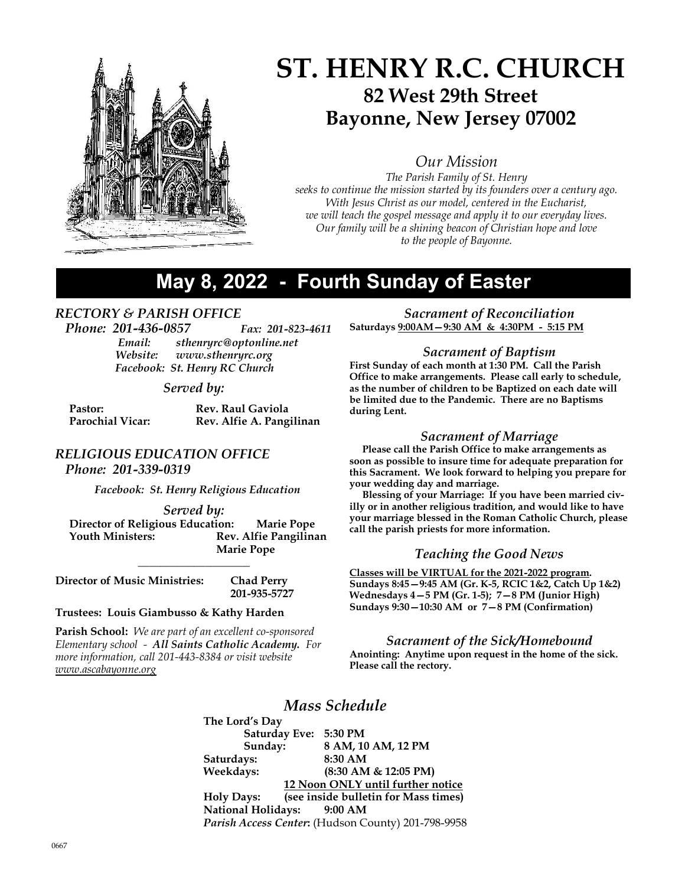

# ST. HENRY R.C. CHURCH 82 West 29th Street Bayonne, New Jersey 07002

Our Mission

The Parish Family of St. Henry seeks to continue the mission started by its founders over a century ago. With Jesus Christ as our model, centered in the Eucharist, we will teach the gospel message and apply it to our everyday lives. Our family will be a shining beacon of Christian hope and love to the people of Bayonne.

## May 8, 2022 - Fourth Sunday of Easter

### RECTORY & PARISH OFFICE

Phone: 201-436-0857 Fax: 201-823-4611 Email: sthenryrc@optonline.net Website: www.sthenryrc.org Facebook: St. Henry RC Church

### Served by:

| Pastor:                 | <b>Rev. Raul Gaviola</b> |
|-------------------------|--------------------------|
| <b>Parochial Vicar:</b> | Rev. Alfie A. Pangilinan |

## RELIGIOUS EDUCATION OFFICE

Phone: 201-339-0319

Facebook: St. Henry Religious Education

#### Served by:

 Director of Religious Education: Marie Pope Youth Ministers: Rev. Alfie Pangilinan Marie Pope

\_\_\_\_\_\_\_\_\_\_\_\_\_\_\_\_\_\_\_\_

201-935-5727

Director of Music Ministries: Chad Perry

#### Trustees: Louis Giambusso & Kathy Harden

**Parish School:** We are part of an excellent co-sponsored Elementary school - All Saints Catholic Academy. For more information, call 201-443-8384 or visit website www.ascabayonne.org

Sacrament of Reconciliation Saturdays 9:00AM—9:30 AM & 4:30PM - 5:15 PM

### Sacrament of Baptism

First Sunday of each month at 1:30 PM. Call the Parish Office to make arrangements. Please call early to schedule, as the number of children to be Baptized on each date will be limited due to the Pandemic. There are no Baptisms during Lent.

### Sacrament of Marriage

 Please call the Parish Office to make arrangements as soon as possible to insure time for adequate preparation for this Sacrament. We look forward to helping you prepare for your wedding day and marriage.

 Blessing of your Marriage: If you have been married civilly or in another religious tradition, and would like to have your marriage blessed in the Roman Catholic Church, please call the parish priests for more information.

### Teaching the Good News

Classes will be VIRTUAL for the 2021-2022 program. Sundays 8:45—9:45 AM (Gr. K-5, RCIC 1&2, Catch Up 1&2) Wednesdays 4—5 PM (Gr. 1-5); 7—8 PM (Junior High) Sundays  $9:30-10:30$  AM or  $7-8$  PM (Confirmation)

#### Sacrament of the Sick/Homebound

Anointing: Anytime upon request in the home of the sick. Please call the rectory.

## Mass Schedule

The Lord's Day Saturday Eve: 5:30 PM Sunday: 8 AM, 10 AM, 12 PM Saturdays: 8:30 AM Weekdays: (8:30 AM & 12:05 PM) 12 Noon ONLY until further notice Holy Days: (see inside bulletin for Mass times) National Holidays: 9:00 AM Parish Access Center: (Hudson County) 201-798-9958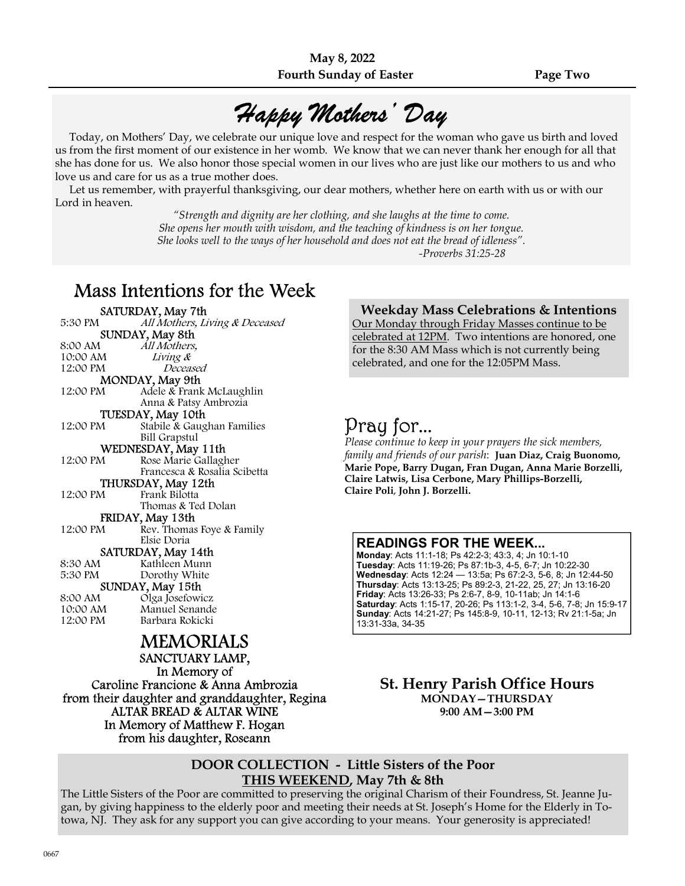# Happy Mothers' Day

 Today, on Mothers' Day, we celebrate our unique love and respect for the woman who gave us birth and loved us from the first moment of our existence in her womb. We know that we can never thank her enough for all that she has done for us. We also honor those special women in our lives who are just like our mothers to us and who love us and care for us as a true mother does.

 Let us remember, with prayerful thanksgiving, our dear mothers, whether here on earth with us or with our Lord in heaven.

> "Strength and dignity are her clothing, and she laughs at the time to come. She opens her mouth with wisdom, and the teaching of kindness is on her tongue. She looks well to the ways of her household and does not eat the bread of idleness". -Proverbs 31:25-28

## Mass Intentions for the Week

| SATURDAY, May 7th                             |                                |
|-----------------------------------------------|--------------------------------|
| 5:30 PM                                       | All Mothers, Living & Deceased |
| SUNDAY, May 8th                               |                                |
| 8:00 AM                                       | All Mothers,                   |
| 10:00 AM                                      | Living &                       |
| 12:00 PM                                      | Deceased                       |
|                                               | MONDAY, May 9th                |
| 12:00 PM                                      | Adele & Frank McLaughlin       |
|                                               | Anna & Patsy Ambrozia          |
|                                               | TUESDAY, May 10th              |
| 12:00 PM                                      | Stabile & Gaughan Families     |
|                                               | Bill Grapstul                  |
|                                               | WEDNESDAY, May 11th            |
| 12:00 PM                                      | Rose Marie Gallagher           |
|                                               | Francesca & Rosalia Scibetta   |
|                                               | THURSDAY, May 12th             |
| 12:00 PM                                      | Frank Bilotta                  |
|                                               | Thomas & Ted Dolan             |
| FRIDAY, May 13th                              |                                |
| 12:00 PM                                      | Rev. Thomas Foye & Family      |
|                                               | Elsie Doria                    |
| SATURDAY, May 14th                            |                                |
| 8:30 AM                                       | Kathleen Munn                  |
| 5:30 PM                                       | Dorothy White                  |
|                                               | SUNDAY, May 15th               |
| 8:00 AM                                       | Olga Josefowicz                |
| 10:00 AM                                      | Manuel Senande                 |
| 12:00 PM                                      | Barbara Rokicki                |
| <b>MEMORIALS</b>                              |                                |
|                                               | SANCTUARY LAMP,                |
|                                               |                                |
| In Memory of                                  |                                |
| Caroline Francione & Anna Ambrozia            |                                |
| from their daughter and granddaughter, Regina |                                |
| ALTAR BREAD & ALTAR WINE                      |                                |

In Memory of Matthew F. Hogan from his daughter, Roseann

### Weekday Mass Celebrations & Intentions

Our Monday through Friday Masses continue to be celebrated at 12PM. Two intentions are honored, one for the 8:30 AM Mass which is not currently being celebrated, and one for the 12:05PM Mass.

## Pray for...

Please continue to keep in your prayers the sick members, family and friends of our parish: Juan Diaz, Craig Buonomo, Marie Pope, Barry Dugan, Fran Dugan, Anna Marie Borzelli, Claire Latwis, Lisa Cerbone, Mary Phillips-Borzelli, Claire Poli, John J. Borzelli.

### READINGS FOR THE WEEK...

Monday: Acts 11:1-18; Ps 42:2-3; 43:3, 4; Jn 10:1-10 Tuesday: Acts 11:19-26; Ps 87:1b-3, 4-5, 6-7; Jn 10:22-30 Wednesday: Acts 12:24 — 13:5a; Ps 67:2-3, 5-6, 8; Jn 12:44-50 Thursday: Acts 13:13-25; Ps 89:2-3, 21-22, 25, 27; Jn 13:16-20 Friday: Acts 13:26-33; Ps 2:6-7, 8-9, 10-11ab; Jn 14:1-6 Saturday: Acts 1:15-17, 20-26; Ps 113:1-2, 3-4, 5-6, 7-8; Jn 15:9-17 Sunday: Acts 14:21-27; Ps 145:8-9, 10-11, 12-13; Rv 21:1-5a; Jn 13:31-33a, 34-35

St. Henry Parish Office Hours MONDAY—THURSDAY 9:00 AM—3:00 PM

### DOOR COLLECTION - Little Sisters of the Poor THIS WEEKEND, May 7th & 8th

The Little Sisters of the Poor are committed to preserving the original Charism of their Foundress, St. Jeanne Jugan, by giving happiness to the elderly poor and meeting their needs at St. Joseph's Home for the Elderly in Totowa, NJ. They ask for any support you can give according to your means. Your generosity is appreciated!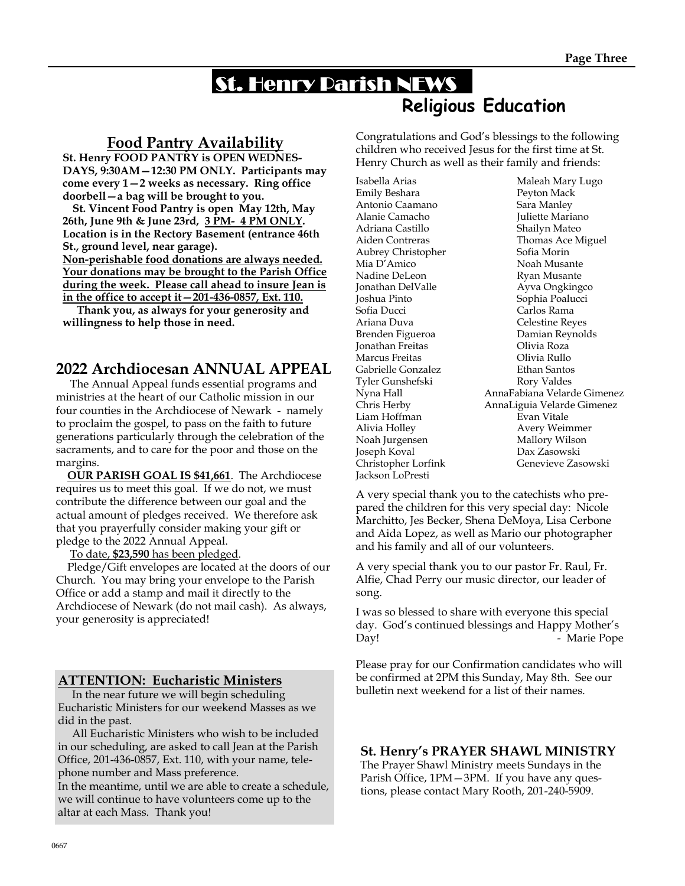## St. Henry Parish NEWS Religious Education

## Food Pantry Availability

St. Henry FOOD PANTRY is OPEN WEDNES-DAYS, 9:30AM—12:30 PM ONLY. Participants may come every 1—2 weeks as necessary. Ring office doorbell—a bag will be brought to you.

 St. Vincent Food Pantry is open May 12th, May 26th, June 9th & June 23rd, 3 PM- 4 PM ONLY. Location is in the Rectory Basement (entrance 46th St., ground level, near garage). Non-perishable food donations are always needed. Your donations may be brought to the Parish Office

during the week. Please call ahead to insure Jean is in the office to accept it—201-436-0857, Ext. 110.

 Thank you, as always for your generosity and willingness to help those in need.

## 2022 Archdiocesan ANNUAL APPEAL

 The Annual Appeal funds essential programs and ministries at the heart of our Catholic mission in our four counties in the Archdiocese of Newark - namely to proclaim the gospel, to pass on the faith to future generations particularly through the celebration of the sacraments, and to care for the poor and those on the margins.

 OUR PARISH GOAL IS \$41,661. The Archdiocese requires us to meet this goal. If we do not, we must contribute the difference between our goal and the actual amount of pledges received. We therefore ask that you prayerfully consider making your gift or pledge to the 2022 Annual Appeal.

To date, \$23,590 has been pledged.

 Pledge/Gift envelopes are located at the doors of our Church. You may bring your envelope to the Parish Office or add a stamp and mail it directly to the Archdiocese of Newark (do not mail cash). As always, your generosity is appreciated!

### ATTENTION: Eucharistic Ministers

 In the near future we will begin scheduling Eucharistic Ministers for our weekend Masses as we did in the past.

 All Eucharistic Ministers who wish to be included in our scheduling, are asked to call Jean at the Parish Office, 201-436-0857, Ext. 110, with your name, telephone number and Mass preference.

In the meantime, until we are able to create a schedule, we will continue to have volunteers come up to the altar at each Mass. Thank you!

Congratulations and God's blessings to the following children who received Jesus for the first time at St. Henry Church as well as their family and friends:

Emily Beshara Peyton Mack Antonio Caamano Sara Manley Alanie Camacho **Juliette Mariano** Adriana Castillo Shailyn Mateo Aubrey Christopher Sofia Morin Mia D'Amico Noah Musante Nadine DeLeon Ryan Musante Jonathan DelValle Ayva Ongkingco Joshua Pinto<br>
Sophia Poalucci<br>
Sofia Ducci<br>
Sofia Pucci<br>
Sofia Pucci<br>
Sophia Rama Ariana Duva Celestine Reyes Brenden Figueroa Damian Reynolds Jonathan Freitas Olivia Roza Marcus Freitas Olivia Rullo Gabrielle Gonzalez Ethan Santos Tyler Gunshefski Liam Hoffman Evan Vitale Alivia Holley Avery Weimmer Noah Jurgensen Mallory Wilson Joseph Koval Dax Zasowski Jackson LoPresti

Isabella Arias Maleah Mary Lugo Aiden Contreras Thomas Ace Miguel Carlos Rama Nyna Hall AnnaFabiana Velarde Gimenez AnnaLiguia Velarde Gimenez Christopher Lorfink Genevieve Zasowski

A very special thank you to the catechists who prepared the children for this very special day: Nicole Marchitto, Jes Becker, Shena DeMoya, Lisa Cerbone and Aida Lopez, as well as Mario our photographer and his family and all of our volunteers.

A very special thank you to our pastor Fr. Raul, Fr. Alfie, Chad Perry our music director, our leader of song.

I was so blessed to share with everyone this special day. God's continued blessings and Happy Mother's Day! - Marie Pope

Please pray for our Confirmation candidates who will be confirmed at 2PM this Sunday, May 8th. See our bulletin next weekend for a list of their names.

### St. Henry's PRAYER SHAWL MINISTRY

The Prayer Shawl Ministry meets Sundays in the Parish Office, 1PM—3PM. If you have any questions, please contact Mary Rooth, 201-240-5909.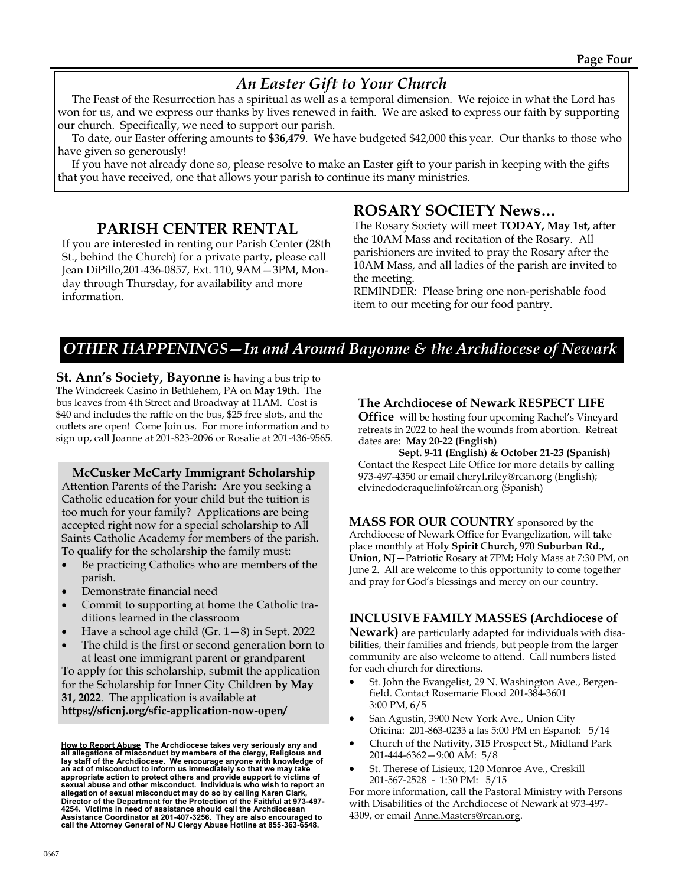## An Easter Gift to Your Church

 The Feast of the Resurrection has a spiritual as well as a temporal dimension. We rejoice in what the Lord has won for us, and we express our thanks by lives renewed in faith. We are asked to express our faith by supporting our church. Specifically, we need to support our parish.

 To date, our Easter offering amounts to \$36,479. We have budgeted \$42,000 this year. Our thanks to those who have given so generously!

 If you have not already done so, please resolve to make an Easter gift to your parish in keeping with the gifts that you have received, one that allows your parish to continue its many ministries.

### PARISH CENTER RENTAL

If you are interested in renting our Parish Center (28th St., behind the Church) for a private party, please call Jean DiPillo,201-436-0857, Ext. 110, 9AM—3PM, Monday through Thursday, for availability and more information.

## ROSARY SOCIETY News…

The Rosary Society will meet TODAY, May 1st, after the 10AM Mass and recitation of the Rosary. All parishioners are invited to pray the Rosary after the 10AM Mass, and all ladies of the parish are invited to the meeting.

REMINDER: Please bring one non-perishable food item to our meeting for our food pantry.

## OTHER HAPPENINGS—In and Around Bayonne & the Archdiocese of Newark

**St. Ann's Society, Bayonne** is having a bus trip to The Windcreek Casino in Bethlehem, PA on May 19th. The bus leaves from 4th Street and Broadway at 11AM. Cost is \$40 and includes the raffle on the bus, \$25 free slots, and the outlets are open! Come Join us. For more information and to sign up, call Joanne at 201-823-2096 or Rosalie at 201-436-9565.

#### McCusker McCarty Immigrant Scholarship

Attention Parents of the Parish: Are you seeking a Catholic education for your child but the tuition is too much for your family? Applications are being accepted right now for a special scholarship to All Saints Catholic Academy for members of the parish. To qualify for the scholarship the family must:

- Be practicing Catholics who are members of the parish.
- Demonstrate financial need
- Commit to supporting at home the Catholic traditions learned in the classroom
- Have a school age child  $(Gr. 1-8)$  in Sept. 2022
- The child is the first or second generation born to at least one immigrant parent or grandparent

To apply for this scholarship, submit the application for the Scholarship for Inner City Children by May 31, 2022. The application is available at https://sficnj.org/sfic-application-now-open/

<u>How to Report Abuse</u> The Archdiocese takes very seriously any and<br>all allegations of misconduct by members of the clergy, Religious and<br>lay staff of the Archdiocese. We encourage anyone with knowledge of an act of misconduct to inform us immediately so that we may take appropriate action to protect others and provide support to victims of sexual abuse and other misconduct. Individuals who wish to report an allegation of sexual misconduct may do so by calling Karen Clark, Director of the Department for the Protection of the Faithful at 973-497- 4254. Victims in need of assistance should call the Archdiocesan Assistance Coordinator at 201-407-3256. They are also encouraged to call the Attorney General of NJ Clergy Abuse Hotline at 855-363-6548.

### The Archdiocese of Newark RESPECT LIFE

**Office** will be hosting four upcoming Rachel's Vineyard retreats in 2022 to heal the wounds from abortion. Retreat dates are: May 20-22 (English)

Sept. 9-11 (English) & October 21-23 (Spanish) Contact the Respect Life Office for more details by calling 973-497-4350 or email cheryl.riley@rcan.org (English); elvinedoderaquelinfo@rcan.org (Spanish)

MASS FOR OUR COUNTRY sponsored by the Archdiocese of Newark Office for Evangelization, will take place monthly at Holy Spirit Church, 970 Suburban Rd., Union, NJ—Patriotic Rosary at 7PM; Holy Mass at 7:30 PM, on June 2. All are welcome to this opportunity to come together and pray for God's blessings and mercy on our country.

### INCLUSIVE FAMILY MASSES (Archdiocese of

Newark) are particularly adapted for individuals with disabilities, their families and friends, but people from the larger community are also welcome to attend. Call numbers listed for each church for directions.

- St. John the Evangelist, 29 N. Washington Ave., Bergenfield. Contact Rosemarie Flood 201-384-3601 3:00 PM, 6/5
- San Agustin, 3900 New York Ave., Union City Oficina: 201-863-0233 a las 5:00 PM en Espanol: 5/14
- · Church of the Nativity, 315 Prospect St., Midland Park 201-444-6362—9:00 AM: 5/8
- St. Therese of Lisieux, 120 Monroe Ave., Creskill 201-567-2528 - 1:30 PM: 5/15

For more information, call the Pastoral Ministry with Persons with Disabilities of the Archdiocese of Newark at 973-497- 4309, or email Anne.Masters@rcan.org.